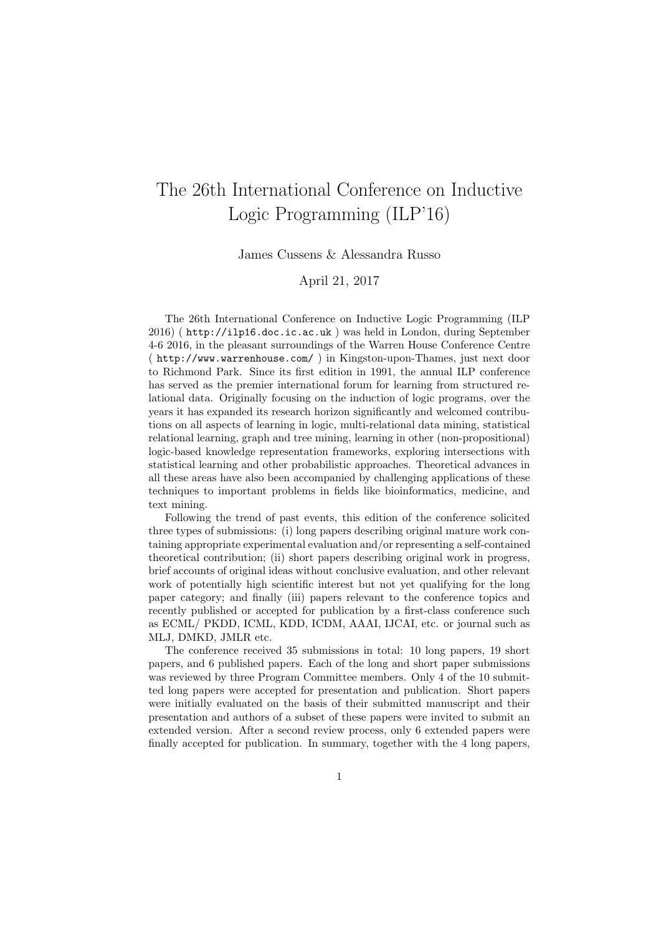## The 26th International Conference on Inductive Logic Programming (ILP'16)

James Cussens & Alessandra Russo

April 21, 2017

The 26th International Conference on Inductive Logic Programming (ILP 2016) ( http://ilp16.doc.ic.ac.uk ) was held in London, during September 4-6 2016, in the pleasant surroundings of the Warren House Conference Centre ( http://www.warrenhouse.com/ ) in Kingston-upon-Thames, just next door to Richmond Park. Since its first edition in 1991, the annual ILP conference has served as the premier international forum for learning from structured relational data. Originally focusing on the induction of logic programs, over the years it has expanded its research horizon significantly and welcomed contributions on all aspects of learning in logic, multi-relational data mining, statistical relational learning, graph and tree mining, learning in other (non-propositional) logic-based knowledge representation frameworks, exploring intersections with statistical learning and other probabilistic approaches. Theoretical advances in all these areas have also been accompanied by challenging applications of these techniques to important problems in fields like bioinformatics, medicine, and text mining.

Following the trend of past events, this edition of the conference solicited three types of submissions: (i) long papers describing original mature work containing appropriate experimental evaluation and/or representing a self-contained theoretical contribution; (ii) short papers describing original work in progress, brief accounts of original ideas without conclusive evaluation, and other relevant work of potentially high scientific interest but not yet qualifying for the long paper category; and finally (iii) papers relevant to the conference topics and recently published or accepted for publication by a first-class conference such as ECML/ PKDD, ICML, KDD, ICDM, AAAI, IJCAI, etc. or journal such as MLJ, DMKD, JMLR etc.

The conference received 35 submissions in total: 10 long papers, 19 short papers, and 6 published papers. Each of the long and short paper submissions was reviewed by three Program Committee members. Only 4 of the 10 submitted long papers were accepted for presentation and publication. Short papers were initially evaluated on the basis of their submitted manuscript and their presentation and authors of a subset of these papers were invited to submit an extended version. After a second review process, only 6 extended papers were finally accepted for publication. In summary, together with the 4 long papers,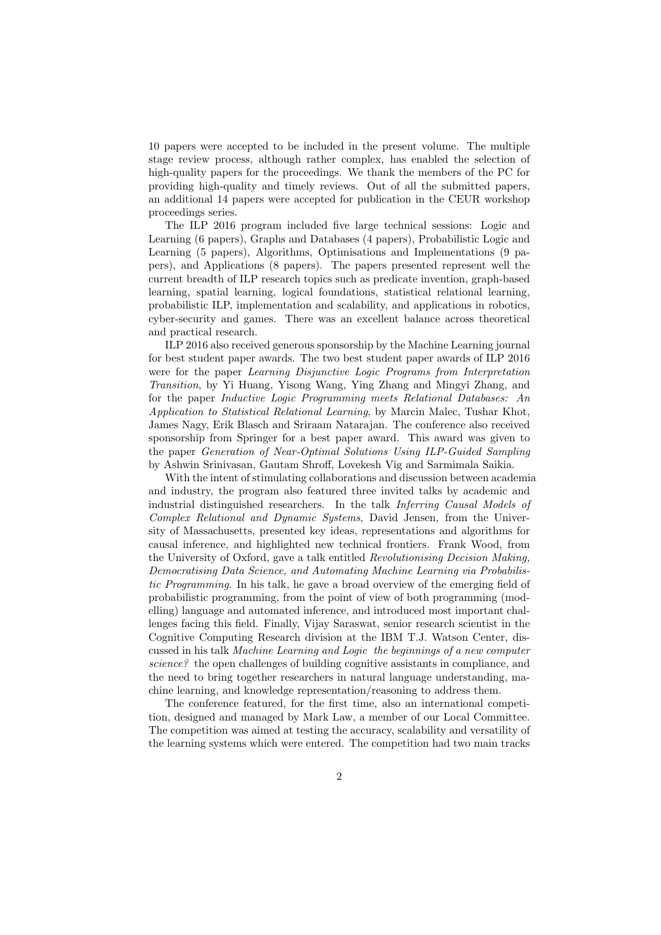10 papers were accepted to be included in the present volume. The multiple stage review process, although rather complex, has enabled the selection of high-quality papers for the proceedings. We thank the members of the PC for providing high-quality and timely reviews. Out of all the submitted papers, an additional 14 papers were accepted for publication in the CEUR workshop proceedings series.

The ILP 2016 program included five large technical sessions: Logic and Learning (6 papers), Graphs and Databases (4 papers), Probabilistic Logic and Learning (5 papers), Algorithms, Optimisations and Implementations (9 papers), and Applications (8 papers). The papers presented represent well the current breadth of ILP research topics such as predicate invention, graph-based learning, spatial learning, logical foundations, statistical relational learning, probabilistic ILP, implementation and scalability, and applications in robotics, cyber-security and games. There was an excellent balance across theoretical and practical research.

ILP 2016 also received generous sponsorship by the Machine Learning journal for best student paper awards. The two best student paper awards of ILP 2016 were for the paper Learning Disjunctive Logic Programs from Interpretation Transition, by Yi Huang, Yisong Wang, Ying Zhang and Mingyi Zhang, and for the paper Inductive Logic Programming meets Relational Databases: An Application to Statistical Relational Learning, by Marcin Malec, Tushar Khot, James Nagy, Erik Blasch and Sriraam Natarajan. The conference also received sponsorship from Springer for a best paper award. This award was given to the paper Generation of Near-Optimal Solutions Using ILP-Guided Sampling by Ashwin Srinivasan, Gautam Shroff, Lovekesh Vig and Sarmimala Saikia.

With the intent of stimulating collaborations and discussion between academia and industry, the program also featured three invited talks by academic and industrial distinguished researchers. In the talk Inferring Causal Models of Complex Relational and Dynamic Systems, David Jensen, from the University of Massachusetts, presented key ideas, representations and algorithms for causal inference, and highlighted new technical frontiers. Frank Wood, from the University of Oxford, gave a talk entitled Revolutionising Decision Making, Democratising Data Science, and Automating Machine Learning via Probabilistic Programming. In his talk, he gave a broad overview of the emerging field of probabilistic programming, from the point of view of both programming (modelling) language and automated inference, and introduced most important challenges facing this field. Finally, Vijay Saraswat, senior research scientist in the Cognitive Computing Research division at the IBM T.J. Watson Center, discussed in his talk Machine Learning and Logic the beginnings of a new computer science? the open challenges of building cognitive assistants in compliance, and the need to bring together researchers in natural language understanding, machine learning, and knowledge representation/reasoning to address them.

The conference featured, for the first time, also an international competition, designed and managed by Mark Law, a member of our Local Committee. The competition was aimed at testing the accuracy, scalability and versatility of the learning systems which were entered. The competition had two main tracks